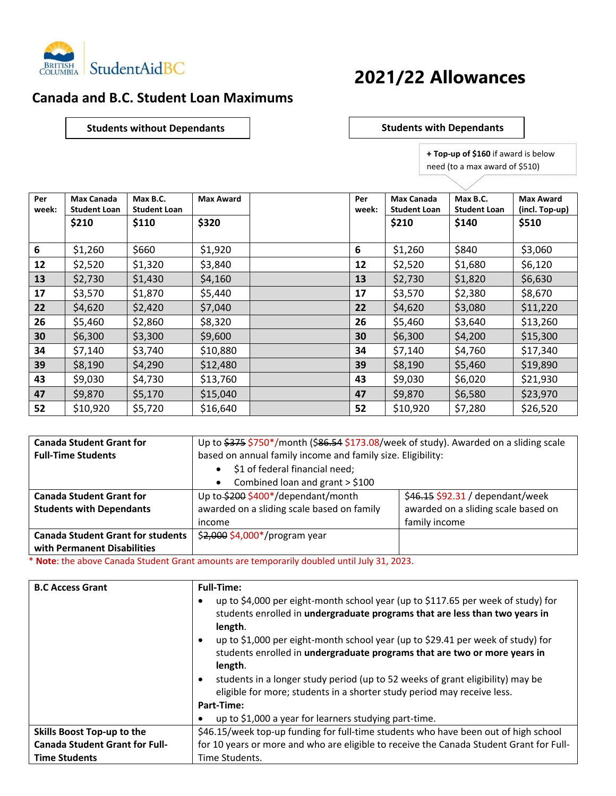

## **2021/22 Allowances**

## **Canada and B.C. Student Loan Maximums**

**Students without Dependants**  $\vert$  **Students with Dependants** 

 **+ Top-up of \$160** if award is below need (to a max award of \$510)

| Per<br>week: | <b>Max Canada</b><br><b>Student Loan</b> | Max B.C.<br><b>Student Loan</b> | <b>Max Award</b> | Per<br>week: | <b>Max Canada</b><br><b>Student Loan</b> | Max B.C.<br><b>Student Loan</b> | <b>Max Award</b><br>(incl. Top-up) |
|--------------|------------------------------------------|---------------------------------|------------------|--------------|------------------------------------------|---------------------------------|------------------------------------|
|              | \$210                                    | \$110                           | \$320            |              | \$210                                    | \$140                           | \$510                              |
| 6            | \$1,260                                  | \$660                           | \$1,920          | 6            | \$1,260                                  | \$840                           | \$3,060                            |
| 12           | \$2,520                                  | \$1,320                         | \$3,840          | 12           | \$2,520                                  | \$1,680                         | \$6,120                            |
| 13           | \$2,730                                  | \$1,430                         | \$4,160          | 13           | \$2,730                                  | \$1,820                         | \$6,630                            |
| 17           | \$3,570                                  | \$1,870                         | \$5,440          | 17           | \$3,570                                  | \$2,380                         | \$8,670                            |
| 22           | \$4,620                                  | \$2,420                         | \$7,040          | 22           | \$4,620                                  | \$3,080                         | \$11,220                           |
| 26           | \$5,460                                  | \$2,860                         | \$8,320          | 26           | \$5,460                                  | \$3,640                         | \$13,260                           |
| 30           | \$6,300                                  | \$3,300                         | \$9,600          | 30           | \$6,300                                  | \$4,200                         | \$15,300                           |
| 34           | \$7,140                                  | \$3,740                         | \$10,880         | 34           | \$7,140                                  | \$4,760                         | \$17,340                           |
| 39           | \$8,190                                  | \$4,290                         | \$12,480         | 39           | \$8,190                                  | \$5,460                         | \$19,890                           |
| 43           | \$9,030                                  | \$4,730                         | \$13,760         | 43           | \$9,030                                  | \$6,020                         | \$21,930                           |
| 47           | \$9,870                                  | \$5,170                         | \$15,040         | 47           | \$9,870                                  | \$6,580                         | \$23,970                           |
| 52           | \$10,920                                 | \$5,720                         | \$16,640         | 52           | \$10,920                                 | \$7,280                         | \$26,520                           |

| <b>Canada Student Grant for</b>          | Up to \$375 \$750*/month (\$86.54 \$173.08/week of study). Awarded on a sliding scale |                                     |  |
|------------------------------------------|---------------------------------------------------------------------------------------|-------------------------------------|--|
| <b>Full-Time Students</b>                | based on annual family income and family size. Eligibility:                           |                                     |  |
| \$1 of federal financial need;           |                                                                                       |                                     |  |
|                                          | Combined loan and grant > \$100<br>$\bullet$                                          |                                     |  |
| <b>Canada Student Grant for</b>          | Up to \$200 \$400*/dependant/month                                                    | \$46.15 \$92.31 / dependant/week    |  |
| <b>Students with Dependants</b>          | awarded on a sliding scale based on family                                            | awarded on a sliding scale based on |  |
|                                          | income                                                                                | family income                       |  |
| <b>Canada Student Grant for students</b> | \$2,000 \$4,000*/program year                                                         |                                     |  |
| with Permanent Disabilities              |                                                                                       |                                     |  |

\* **Note**: the above Canada Student Grant amounts are temporarily doubled until July 31, 2023.

| <b>B.C Access Grant</b>               | <b>Full-Time:</b>                                                                                                                                                                    |
|---------------------------------------|--------------------------------------------------------------------------------------------------------------------------------------------------------------------------------------|
|                                       | up to \$4,000 per eight-month school year (up to \$117.65 per week of study) for<br>students enrolled in undergraduate programs that are less than two years in<br>length.           |
|                                       | up to \$1,000 per eight-month school year (up to \$29.41 per week of study) for<br>$\bullet$<br>students enrolled in undergraduate programs that are two or more years in<br>length. |
|                                       | students in a longer study period (up to 52 weeks of grant eligibility) may be<br>$\bullet$<br>eligible for more; students in a shorter study period may receive less.               |
|                                       | Part-Time:                                                                                                                                                                           |
|                                       | up to \$1,000 a year for learners studying part-time.                                                                                                                                |
| Skills Boost Top-up to the            | \$46.15/week top-up funding for full-time students who have been out of high school                                                                                                  |
| <b>Canada Student Grant for Full-</b> | for 10 years or more and who are eligible to receive the Canada Student Grant for Full-                                                                                              |
| <b>Time Students</b>                  | Time Students.                                                                                                                                                                       |